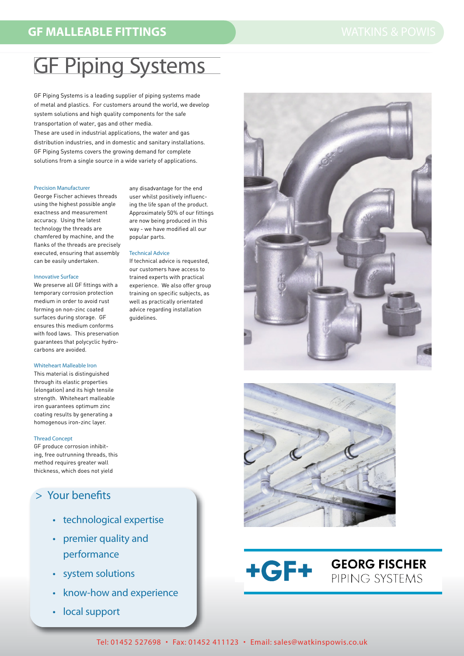# **GF Piping Systems**

GF Piping Systems is a leading supplier of piping systems made of metal and plastics. For customers around the world, we develop system solutions and high quality components for the safe transportation of water, gas and other media.

These are used in industrial applications, the water and gas distribution industries, and in domestic and sanitary installations. GF Piping Systems covers the growing demand for complete solutions from a single source in a wide variety of applications.

#### **Precision Manufacturer**

George Fischer achieves threads using the highest possible angle exactness and measurement accuracy. Using the latest technology the threads are chamfered by machine, and the flanks of the threads are precisely executed, ensuring that assembly can be easily undertaken.

### **Innovative Surface**

We preserve all GF fittings with a temporary corrosion protection medium in order to avoid rust forming on non-zinc coated surfaces during storage. GF ensures this medium conforms with food laws. This preservation guarantees that polycyclic hydrocarbons are avoided.

# **Whiteheart Malleable Iron**

This material is distinguished through its elastic properties (elongation) and its high tensile strength. Whiteheart malleable iron guarantees optimum zinc coating results by generating a homogenous iron-zinc layer.

### **Thread Concept**

GF produce corrosion inhibiting, free outrunning threads, this method requires greater wall thickness, which does not vield

# > Your benefits

- technological expertise
- premier quality and performance
- · system solutions
- know-how and experience
- local support



# **Technical Advice**

If technical advice is requested our customers have access to trained experts with practical experience. We also offer group training on specific subjects, as well as practically orientated advice regarding installation quidelines.





**GEORG FISCHER** 

PIPING SYSTEMS

**+GF+**